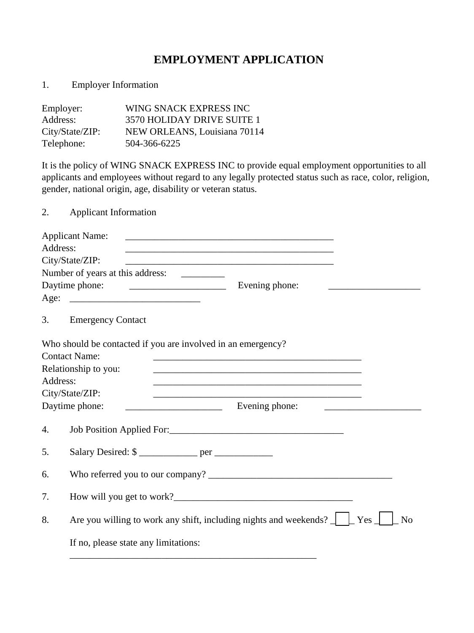## **EMPLOYMENT APPLICATION**

1. Employer Information

| Employer:       | WING SNACK EXPRESS INC       |
|-----------------|------------------------------|
| Address:        | 3570 HOLIDAY DRIVE SUITE 1   |
| City/State/ZIP: | NEW ORLEANS, Louisiana 70114 |
| Telephone:      | 504-366-6225                 |

It is the policy of WING SNACK EXPRESS INC to provide equal employment opportunities to all applicants and employees without regard to any legally protected status such as race, color, religion, gender, national origin, age, disability or veteran status.

2. Applicant Information Applicant Name: \_\_\_\_\_\_\_\_\_\_\_\_\_\_\_\_\_\_\_\_\_\_\_\_\_\_\_\_\_\_\_\_\_\_\_\_\_\_\_\_\_\_\_ Address: \_\_\_\_\_\_\_\_\_\_\_\_\_\_\_\_\_\_\_\_\_\_\_\_\_\_\_\_\_\_\_\_\_\_\_\_\_\_\_\_\_\_\_ City/State/ZIP: Number of years at this address: \_\_\_\_\_\_\_\_\_ Daytime phone: \_\_\_\_\_\_\_\_\_\_\_\_\_\_\_\_\_\_\_\_ Evening phone: \_\_\_\_\_\_\_\_\_\_\_\_\_\_\_\_\_\_\_  $Age:$ 3. Emergency Contact Who should be contacted if you are involved in an emergency? Contact Name: \_\_\_\_\_\_\_\_\_\_\_\_\_\_\_\_\_\_\_\_\_\_\_\_\_\_\_\_\_\_\_\_\_\_\_\_\_\_\_\_\_\_\_ Relationship to you: Address: \_\_\_\_\_\_\_\_\_\_\_\_\_\_\_\_\_\_\_\_\_\_\_\_\_\_\_\_\_\_\_\_\_\_\_\_\_\_\_\_\_\_\_ City/State/ZIP: Daytime phone: \_\_\_\_\_\_\_\_\_\_\_\_\_\_\_\_\_\_\_\_ Evening phone: \_\_\_\_\_\_\_\_\_\_\_\_\_\_\_\_\_\_\_\_ 4. Job Position Applied For: 1997 5. Salary Desired: \$ \_\_\_\_\_\_\_\_\_\_\_\_ per \_\_\_\_\_\_\_\_\_\_\_\_ 6. Who referred you to our company? 7. How will you get to work? 8. Are you willing to work any shift, including nights and weekends?  $\Box$  Yes  $\Box$  No If no, please state any limitations:

\_\_\_\_\_\_\_\_\_\_\_\_\_\_\_\_\_\_\_\_\_\_\_\_\_\_\_\_\_\_\_\_\_\_\_\_\_\_\_\_\_\_\_\_\_\_\_\_\_\_\_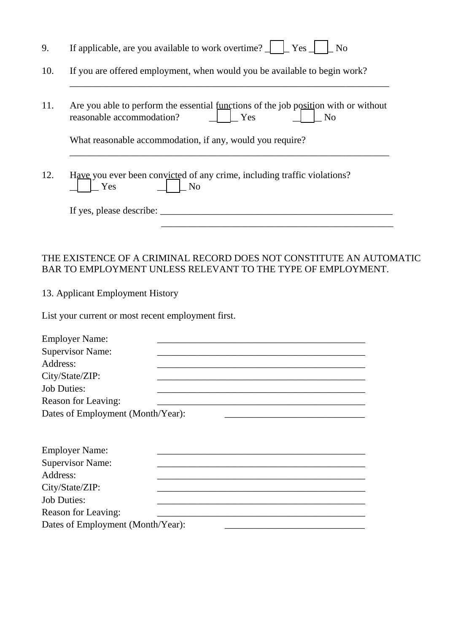| 9.       | If applicable, are you available to work overtime? $\Box$ $\Box$ Yes $\Box$<br>N <sub>o</sub>                                                                                                                                 |
|----------|-------------------------------------------------------------------------------------------------------------------------------------------------------------------------------------------------------------------------------|
| 10.      | If you are offered employment, when would you be available to begin work?                                                                                                                                                     |
| 11.      | Are you able to perform the essential functions of the job position with or without<br>reasonable accommodation?<br>Yes<br>N <sub>o</sub><br>What reasonable accommodation, if any, would you require?                        |
| 12.      | Have you ever been convicted of any crime, including traffic violations?<br>N <sub>o</sub><br>Yes                                                                                                                             |
|          |                                                                                                                                                                                                                               |
|          | THE EXISTENCE OF A CRIMINAL RECORD DOES NOT CONSTITUTE AN AUTOMATIC<br>BAR TO EMPLOYMENT UNLESS RELEVANT TO THE TYPE OF EMPLOYMENT.<br>13. Applicant Employment History<br>List your current or most recent employment first. |
| Address: | <b>Employer Name:</b><br><b>Supervisor Name:</b><br>City/State/ZIP:<br><b>Job Duties:</b><br>Reason for Leaving:<br>Dates of Employment (Month/Year):                                                                         |
| Address: | <b>Employer Name:</b><br><b>Supervisor Name:</b><br>City/State/ZIP:<br><b>Job Duties:</b>                                                                                                                                     |

Reason for Leaving: \_\_\_\_\_\_\_\_\_\_\_\_\_\_\_\_\_\_\_\_\_\_\_\_\_\_\_\_\_\_\_\_\_\_\_\_\_\_\_\_\_\_\_ Dates of Employment (Month/Year):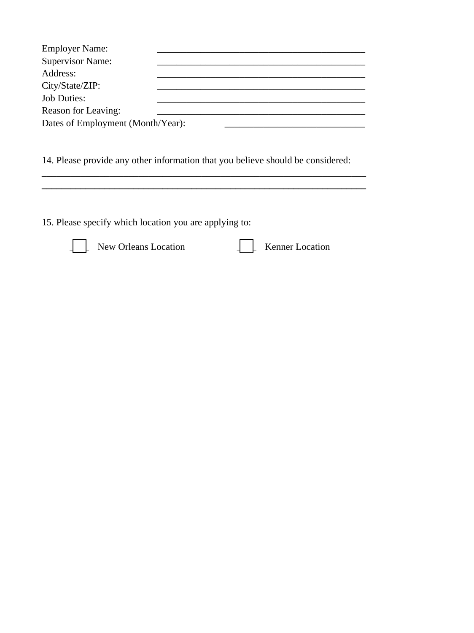| <b>Employer Name:</b>             |  |  |
|-----------------------------------|--|--|
| <b>Supervisor Name:</b>           |  |  |
| Address:                          |  |  |
| City/State/ZIP:                   |  |  |
| <b>Job Duties:</b>                |  |  |
| Reason for Leaving:               |  |  |
| Dates of Employment (Month/Year): |  |  |

14. Please provide any other information that you believe should be considered:

**\_\_\_\_\_\_\_\_\_\_\_\_\_\_\_\_\_\_\_\_\_\_\_\_\_\_\_\_\_\_\_\_\_\_\_\_\_\_\_\_\_\_\_\_\_\_\_\_\_\_\_\_\_\_\_\_\_\_\_\_\_\_\_\_\_\_\_ \_\_\_\_\_\_\_\_\_\_\_\_\_\_\_\_\_\_\_\_\_\_\_\_\_\_\_\_\_\_\_\_\_\_\_\_\_\_\_\_\_\_\_\_\_\_\_\_\_\_\_\_\_\_\_\_\_\_\_\_\_\_\_\_\_\_\_** 

15. Please specify which location you are applying to:



New Orleans Location **Leaper** Kenner Location